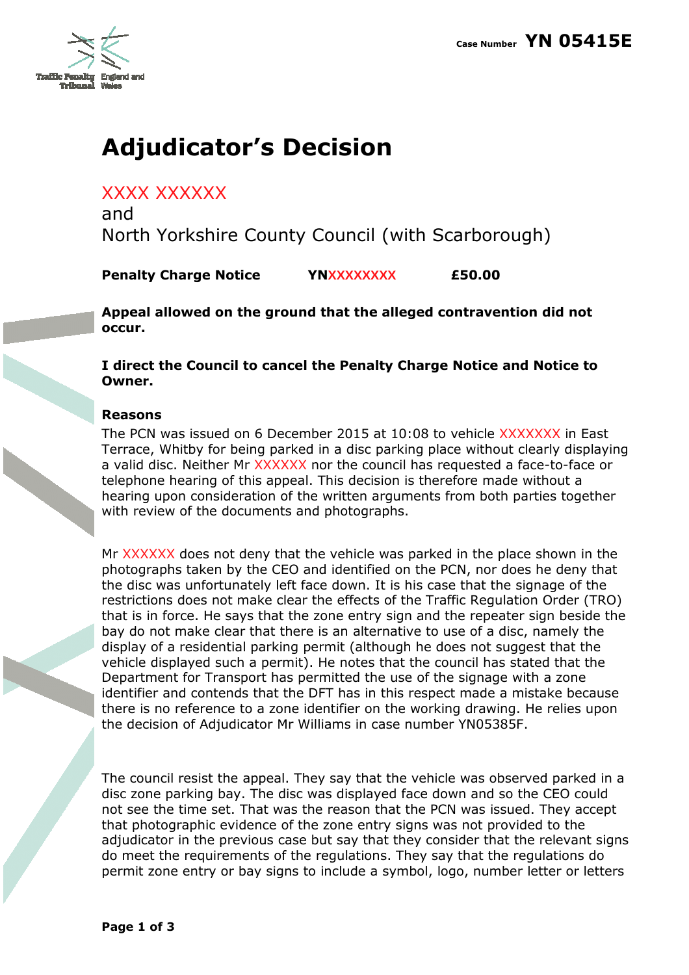

## Adjudicator's Decision

XXXX XXXXXX

and North Yorkshire County Council (with Scarborough)

Penalty Charge Notice YNXXXXXXXX £50.00

Appeal allowed on the ground that the alleged contravention did not occur.

I direct the Council to cancel the Penalty Charge Notice and Notice to Owner.

## Reasons

The PCN was issued on 6 December 2015 at 10:08 to vehicle XXXXXXX in East Terrace, Whitby for being parked in a disc parking place without clearly displaying a valid disc. Neither Mr XXXXXX nor the council has requested a face-to-face or telephone hearing of this appeal. This decision is therefore made without a hearing upon consideration of the written arguments from both parties together with review of the documents and photographs.

Mr XXXXXX does not deny that the vehicle was parked in the place shown in the photographs taken by the CEO and identified on the PCN, nor does he deny that the disc was unfortunately left face down. It is his case that the signage of the restrictions does not make clear the effects of the Traffic Regulation Order (TRO) that is in force. He says that the zone entry sign and the repeater sign beside the bay do not make clear that there is an alternative to use of a disc, namely the display of a residential parking permit (although he does not suggest that the vehicle displayed such a permit). He notes that the council has stated that the Department for Transport has permitted the use of the signage with a zone identifier and contends that the DFT has in this respect made a mistake because there is no reference to a zone identifier on the working drawing. He relies upon the decision of Adjudicator Mr Williams in case number YN05385F.

The council resist the appeal. They say that the vehicle was observed parked in a disc zone parking bay. The disc was displayed face down and so the CEO could not see the time set. That was the reason that the PCN was issued. They accept that photographic evidence of the zone entry signs was not provided to the adjudicator in the previous case but say that they consider that the relevant signs do meet the requirements of the regulations. They say that the regulations do permit zone entry or bay signs to include a symbol, logo, number letter or letters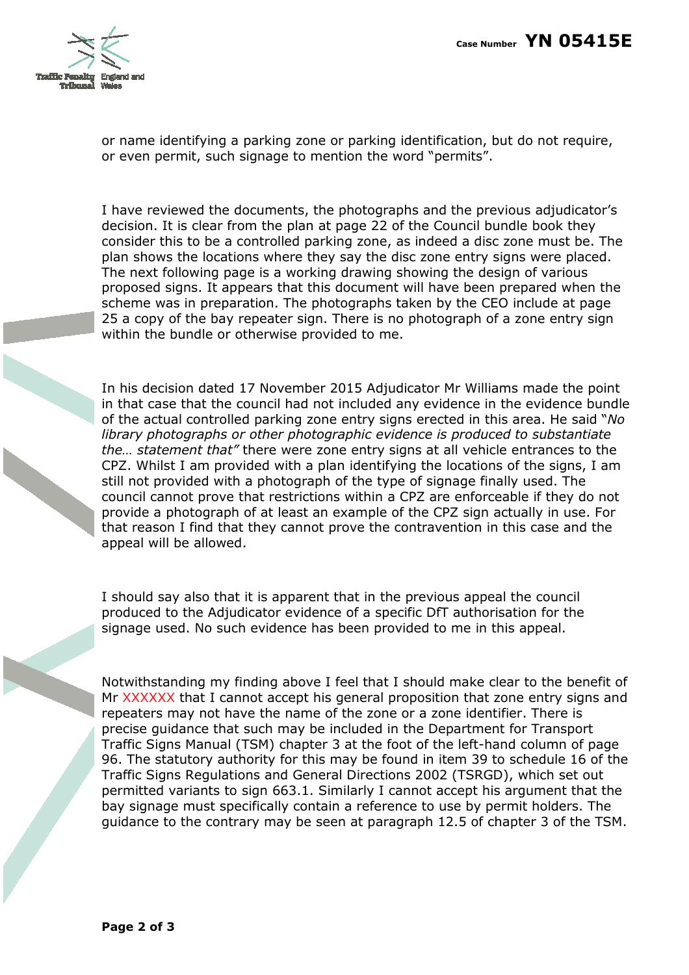

or name identifying a parking zone or parking identification, but do not require, or even permit, such signage to mention the word "permits".

I have reviewed the documents, the photographs and the previous adjudicator's decision. It is clear from the plan at page 22 of the Council bundle book they consider this to be a controlled parking zone, as indeed a disc zone must be. The plan shows the locations where they say the disc zone entry signs were placed. The next following page is a working drawing showing the design of various proposed signs. It appears that this document will have been prepared when the scheme was in preparation. The photographs taken by the CEO include at page 25 a copy of the bay repeater sign. There is no photograph of a zone entry sign within the bundle or otherwise provided to me.

In his decision dated 17 November 2015 Adjudicator Mr Williams made the point in that case that the council had not included any evidence in the evidence bundle of the actual controlled parking zone entry signs erected in this area. He said "No library photographs or other photographic evidence is produced to substantiate the… statement that" there were zone entry signs at all vehicle entrances to the CPZ. Whilst I am provided with a plan identifying the locations of the signs, I am still not provided with a photograph of the type of signage finally used. The council cannot prove that restrictions within a CPZ are enforceable if they do not provide a photograph of at least an example of the CPZ sign actually in use. For that reason I find that they cannot prove the contravention in this case and the appeal will be allowed.

I should say also that it is apparent that in the previous appeal the council produced to the Adjudicator evidence of a specific DfT authorisation for the signage used. No such evidence has been provided to me in this appeal.

Notwithstanding my finding above I feel that I should make clear to the benefit of Mr XXXXXX that I cannot accept his general proposition that zone entry signs and repeaters may not have the name of the zone or a zone identifier. There is precise guidance that such may be included in the Department for Transport Traffic Signs Manual (TSM) chapter 3 at the foot of the left-hand column of page 96. The statutory authority for this may be found in item 39 to schedule 16 of the Traffic Signs Regulations and General Directions 2002 (TSRGD), which set out permitted variants to sign 663.1. Similarly I cannot accept his argument that the bay signage must specifically contain a reference to use by permit holders. The guidance to the contrary may be seen at paragraph 12.5 of chapter 3 of the TSM.